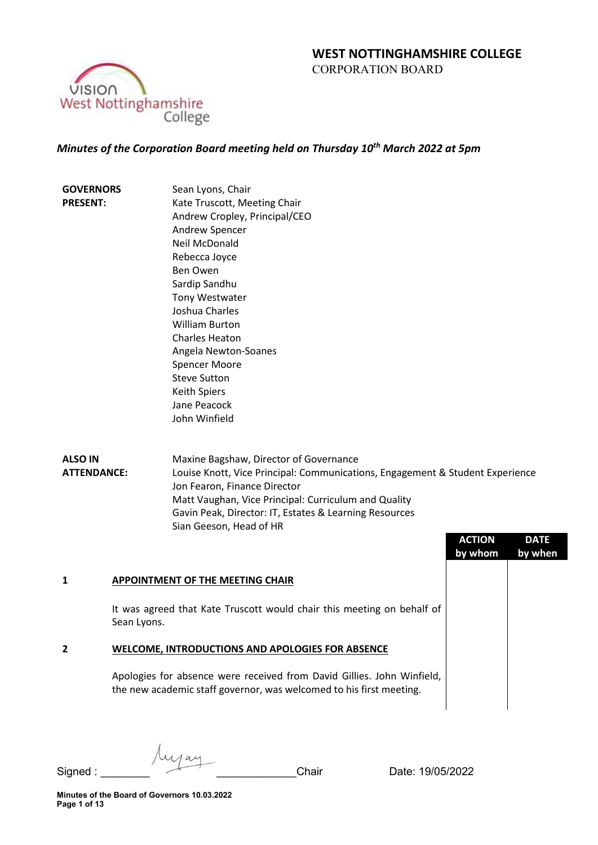

# *Minutes of the Corporation Board meeting held on Thursday 10th March 2022 at 5pm*

| <b>GOVERNORS</b> | Sean Lyons, Chair             |
|------------------|-------------------------------|
| <b>PRESENT:</b>  | Kate Truscott, Meeting Chair  |
|                  | Andrew Cropley, Principal/CEO |
|                  | <b>Andrew Spencer</b>         |
|                  | Neil McDonald                 |
|                  | Rebecca Joyce                 |
|                  | <b>Ben Owen</b>               |
|                  | Sardip Sandhu                 |
|                  | <b>Tony Westwater</b>         |
|                  | Joshua Charles                |
|                  | William Burton                |
|                  | <b>Charles Heaton</b>         |
|                  | Angela Newton-Soanes          |
|                  | <b>Spencer Moore</b>          |
|                  | <b>Steve Sutton</b>           |
|                  | Keith Spiers                  |
|                  | Jane Peacock                  |
|                  | John Winfield                 |
|                  |                               |

**ALSO IN ATTENDANCE:** Maxine Bagshaw, Director of Governance Louise Knott, Vice Principal: Communications, Engagement & Student Experience Jon Fearon, Finance Director Matt Vaughan, Vice Principal: Curriculum and Quality Gavin Peak, Director: IT, Estates & Learning Resources Sian Geeson, Head of HR

|                                                                                                                                               | <b>ACTION</b><br>by whom | <b>DATE</b><br>by when |
|-----------------------------------------------------------------------------------------------------------------------------------------------|--------------------------|------------------------|
| APPOINTMENT OF THE MEETING CHAIR                                                                                                              |                          |                        |
| It was agreed that Kate Truscott would chair this meeting on behalf of<br>Sean Lyons.                                                         |                          |                        |
| <b>WELCOME, INTRODUCTIONS AND APOLOGIES FOR ABSENCE</b>                                                                                       |                          |                        |
| Apologies for absence were received from David Gillies. John Winfield,<br>the new academic staff governor, was welcomed to his first meeting. |                          |                        |
|                                                                                                                                               |                          |                        |

Mai Signed : \_\_\_\_\_\_\_\_ \_\_\_\_\_\_\_\_\_\_\_\_\_Chair Date: 19/05/2022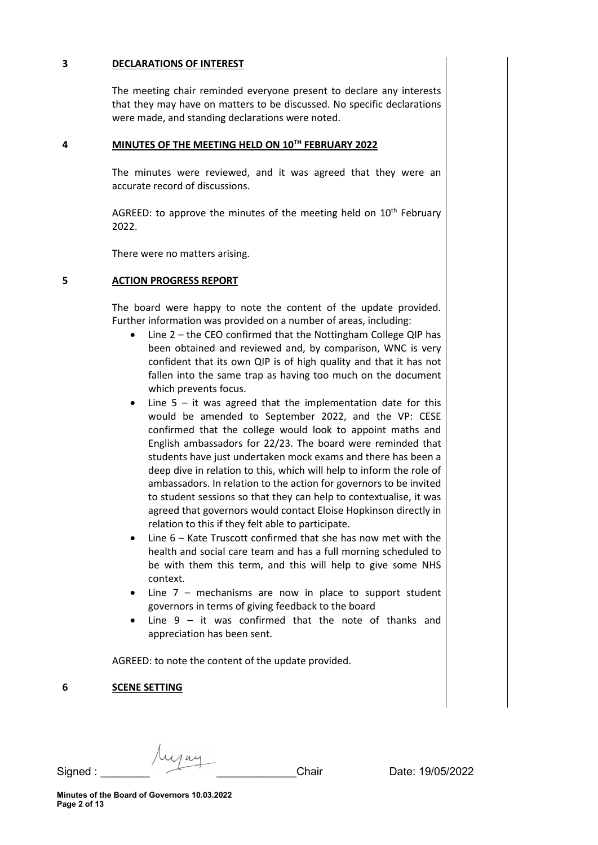## **3 DECLARATIONS OF INTEREST**

The meeting chair reminded everyone present to declare any interests that they may have on matters to be discussed. No specific declarations were made, and standing declarations were noted.

### **4 MINUTES OF THE MEETING HELD ON 10TH FEBRUARY 2022**

The minutes were reviewed, and it was agreed that they were an accurate record of discussions.

AGREED: to approve the minutes of the meeting held on  $10<sup>th</sup>$  February 2022.

There were no matters arising.

### **5 ACTION PROGRESS REPORT**

The board were happy to note the content of the update provided. Further information was provided on a number of areas, including:

- Line 2 the CEO confirmed that the Nottingham College QIP has been obtained and reviewed and, by comparison, WNC is very confident that its own QIP is of high quality and that it has not fallen into the same trap as having too much on the document which prevents focus.
- Line  $5 it$  was agreed that the implementation date for this would be amended to September 2022, and the VP: CESE confirmed that the college would look to appoint maths and English ambassadors for 22/23. The board were reminded that students have just undertaken mock exams and there has been a deep dive in relation to this, which will help to inform the role of ambassadors. In relation to the action for governors to be invited to student sessions so that they can help to contextualise, it was agreed that governors would contact Eloise Hopkinson directly in relation to this if they felt able to participate.
- Line 6 Kate Truscott confirmed that she has now met with the health and social care team and has a full morning scheduled to be with them this term, and this will help to give some NHS context.
- Line  $7$  mechanisms are now in place to support student governors in terms of giving feedback to the board
- Line  $9 it$  was confirmed that the note of thanks and appreciation has been sent.

AGREED: to note the content of the update provided.

### **6 SCENE SETTING**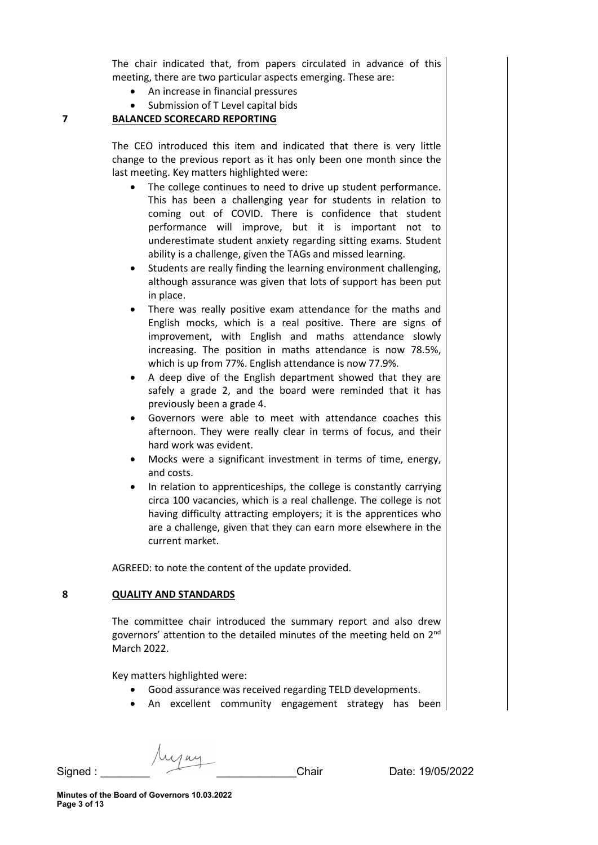The chair indicated that, from papers circulated in advance of this meeting, there are two particular aspects emerging. These are:

- An increase in financial pressures
- Submission of T Level capital bids

#### **7 BALANCED SCORECARD REPORTING**

The CEO introduced this item and indicated that there is very little change to the previous report as it has only been one month since the last meeting. Key matters highlighted were:

- The college continues to need to drive up student performance. This has been a challenging year for students in relation to coming out of COVID. There is confidence that student performance will improve, but it is important not to underestimate student anxiety regarding sitting exams. Student ability is a challenge, given the TAGs and missed learning.
- Students are really finding the learning environment challenging, although assurance was given that lots of support has been put in place.
- There was really positive exam attendance for the maths and English mocks, which is a real positive. There are signs of improvement, with English and maths attendance slowly increasing. The position in maths attendance is now 78.5%, which is up from 77%. English attendance is now 77.9%.
- A deep dive of the English department showed that they are safely a grade 2, and the board were reminded that it has previously been a grade 4.
- Governors were able to meet with attendance coaches this afternoon. They were really clear in terms of focus, and their hard work was evident.
- Mocks were a significant investment in terms of time, energy, and costs.
- In relation to apprenticeships, the college is constantly carrying circa 100 vacancies, which is a real challenge. The college is not having difficulty attracting employers; it is the apprentices who are a challenge, given that they can earn more elsewhere in the current market.

AGREED: to note the content of the update provided.

### **8 QUALITY AND STANDARDS**

The committee chair introduced the summary report and also drew governors' attention to the detailed minutes of the meeting held on 2nd March 2022.

Key matters highlighted were:

- Good assurance was received regarding TELD developments.
- An excellent community engagement strategy has been

Signed : \_\_\_\_\_\_\_\_ \_\_\_\_\_\_\_\_\_\_\_\_\_Chair Date: 19/05/2022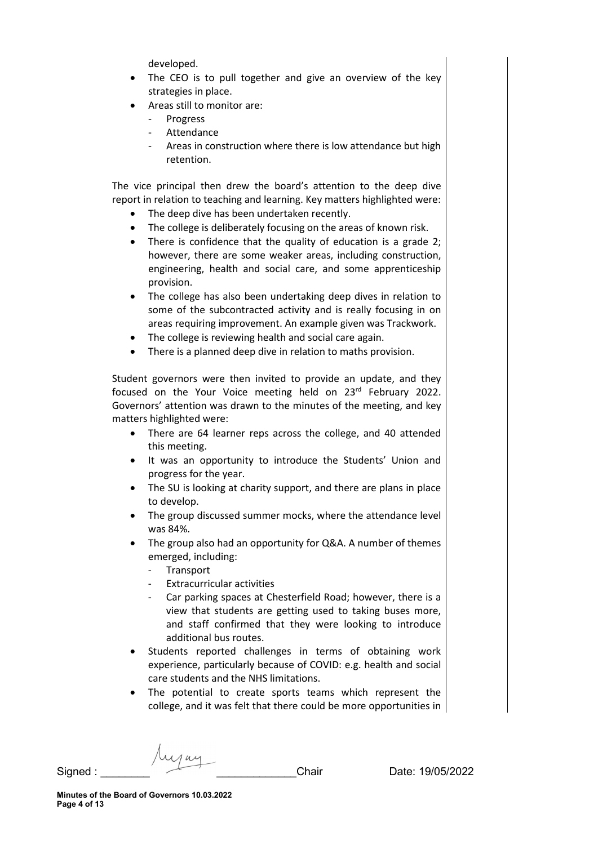developed.

- The CEO is to pull together and give an overview of the key strategies in place.
- Areas still to monitor are:
	- **Progress**
	- **Attendance**
	- Areas in construction where there is low attendance but high retention.

The vice principal then drew the board's attention to the deep dive report in relation to teaching and learning. Key matters highlighted were:

- The deep dive has been undertaken recently.
- The college is deliberately focusing on the areas of known risk.
- There is confidence that the quality of education is a grade 2; however, there are some weaker areas, including construction, engineering, health and social care, and some apprenticeship provision.
- The college has also been undertaking deep dives in relation to some of the subcontracted activity and is really focusing in on areas requiring improvement. An example given was Trackwork.
- The college is reviewing health and social care again.
- There is a planned deep dive in relation to maths provision.

Student governors were then invited to provide an update, and they focused on the Your Voice meeting held on 23rd February 2022. Governors' attention was drawn to the minutes of the meeting, and key matters highlighted were:

- There are 64 learner reps across the college, and 40 attended this meeting.
- It was an opportunity to introduce the Students' Union and progress for the year.
- The SU is looking at charity support, and there are plans in place to develop.
- The group discussed summer mocks, where the attendance level was 84%.
- The group also had an opportunity for Q&A. A number of themes emerged, including:
	- Transport
	- Extracurricular activities
	- Car parking spaces at Chesterfield Road; however, there is a view that students are getting used to taking buses more, and staff confirmed that they were looking to introduce additional bus routes.
- Students reported challenges in terms of obtaining work experience, particularly because of COVID: e.g. health and social care students and the NHS limitations.
- The potential to create sports teams which represent the college, and it was felt that there could be more opportunities in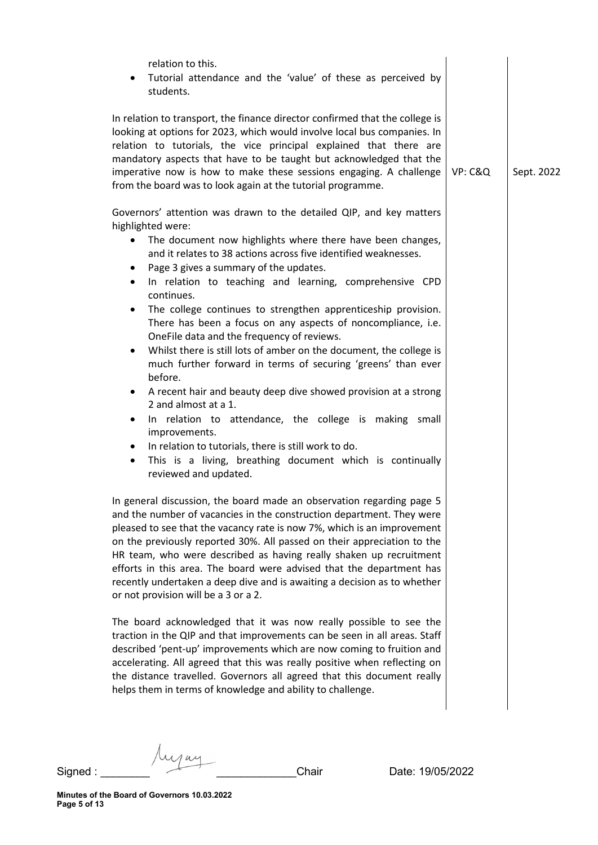| relation to this.<br>Tutorial attendance and the 'value' of these as perceived by<br>$\bullet$<br>students.                                                                                                                                                                                                                                                                                                                                                                                                                                                                                                                                                                                                                                                                                                                                                                                                                                                                                                                                                            |         |            |
|------------------------------------------------------------------------------------------------------------------------------------------------------------------------------------------------------------------------------------------------------------------------------------------------------------------------------------------------------------------------------------------------------------------------------------------------------------------------------------------------------------------------------------------------------------------------------------------------------------------------------------------------------------------------------------------------------------------------------------------------------------------------------------------------------------------------------------------------------------------------------------------------------------------------------------------------------------------------------------------------------------------------------------------------------------------------|---------|------------|
| In relation to transport, the finance director confirmed that the college is<br>looking at options for 2023, which would involve local bus companies. In<br>relation to tutorials, the vice principal explained that there are<br>mandatory aspects that have to be taught but acknowledged that the<br>imperative now is how to make these sessions engaging. A challenge<br>from the board was to look again at the tutorial programme.                                                                                                                                                                                                                                                                                                                                                                                                                                                                                                                                                                                                                              | VP: C&Q | Sept. 2022 |
| Governors' attention was drawn to the detailed QIP, and key matters<br>highlighted were:<br>The document now highlights where there have been changes,<br>$\bullet$<br>and it relates to 38 actions across five identified weaknesses.<br>Page 3 gives a summary of the updates.<br>$\bullet$<br>In relation to teaching and learning, comprehensive CPD<br>$\bullet$<br>continues.<br>The college continues to strengthen apprenticeship provision.<br>٠<br>There has been a focus on any aspects of noncompliance, i.e.<br>OneFile data and the frequency of reviews.<br>Whilst there is still lots of amber on the document, the college is<br>٠<br>much further forward in terms of securing 'greens' than ever<br>before.<br>A recent hair and beauty deep dive showed provision at a strong<br>٠<br>2 and almost at a 1.<br>In relation to attendance, the college is making small<br>٠<br>improvements.<br>In relation to tutorials, there is still work to do.<br>٠<br>This is a living, breathing document which is continually<br>٠<br>reviewed and updated. |         |            |
| In general discussion, the board made an observation regarding page 5<br>and the number of vacancies in the construction department. They were<br>pleased to see that the vacancy rate is now 7%, which is an improvement<br>on the previously reported 30%. All passed on their appreciation to the<br>HR team, who were described as having really shaken up recruitment<br>efforts in this area. The board were advised that the department has<br>recently undertaken a deep dive and is awaiting a decision as to whether<br>or not provision will be a 3 or a 2.<br>The board acknowledged that it was now really possible to see the<br>traction in the QIP and that improvements can be seen in all areas. Staff<br>described 'pent-up' improvements which are now coming to fruition and<br>accelerating. All agreed that this was really positive when reflecting on<br>the distance travelled. Governors all agreed that this document really<br>helps them in terms of knowledge and ability to challenge.                                                 |         |            |

Juja

Signed : \_\_\_\_\_\_\_\_ \_\_\_\_\_\_\_\_\_\_\_\_\_Chair Date: 19/05/2022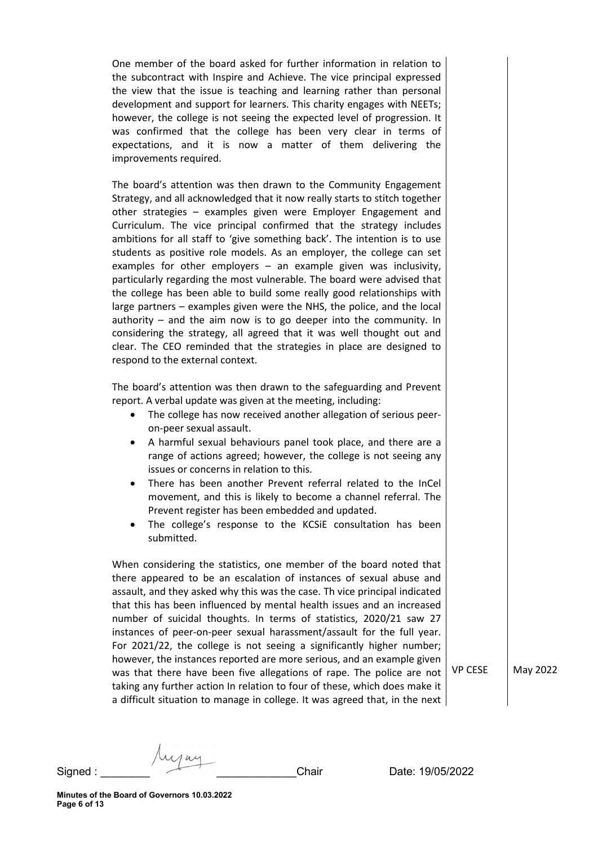One member of the board asked for further information in relation to the subcontract with Inspire and Achieve. The vice principal expressed the view that the issue is teaching and learning rather than personal development and support for learners. This charity engages with NEETs; however, the college is not seeing the expected level of progression. It was confirmed that the college has been very clear in terms of expectations, and it is now a matter of them delivering the improvements required.

The board's attention was then drawn to the Community Engagement Strategy, and all acknowledged that it now really starts to stitch together other strategies – examples given were Employer Engagement and Curriculum. The vice principal confirmed that the strategy includes ambitions for all staff to 'give something back'. The intention is to use students as positive role models. As an employer, the college can set examples for other employers – an example given was inclusivity, particularly regarding the most vulnerable. The board were advised that the college has been able to build some really good relationships with large partners – examples given were the NHS, the police, and the local authority – and the aim now is to go deeper into the community. In considering the strategy, all agreed that it was well thought out and clear. The CEO reminded that the strategies in place are designed to respond to the external context.

The board's attention was then drawn to the safeguarding and Prevent report. A verbal update was given at the meeting, including:

- The college has now received another allegation of serious peeron-peer sexual assault.
- A harmful sexual behaviours panel took place, and there are a range of actions agreed; however, the college is not seeing any issues or concerns in relation to this.
- There has been another Prevent referral related to the InCel movement, and this is likely to become a channel referral. The Prevent register has been embedded and updated.
- The college's response to the KCSiE consultation has been submitted.

When considering the statistics, one member of the board noted that there appeared to be an escalation of instances of sexual abuse and assault, and they asked why this was the case. Th vice principal indicated that this has been influenced by mental health issues and an increased number of suicidal thoughts. In terms of statistics, 2020/21 saw 27 instances of peer-on-peer sexual harassment/assault for the full year. For 2021/22, the college is not seeing a significantly higher number; however, the instances reported are more serious, and an example given was that there have been five allegations of rape. The police are not  $\vert$  VP CESE  $\vert$  May 2022 taking any further action In relation to four of these, which does make it a difficult situation to manage in college. It was agreed that, in the next

 $S$ igned :  $\overline{\phantom{a}}$  .  $\overline{\phantom{a}}$  .  $\overline{\phantom{a}}$  . Chair  $\overline{\phantom{a}}$  Date: 19/05/2022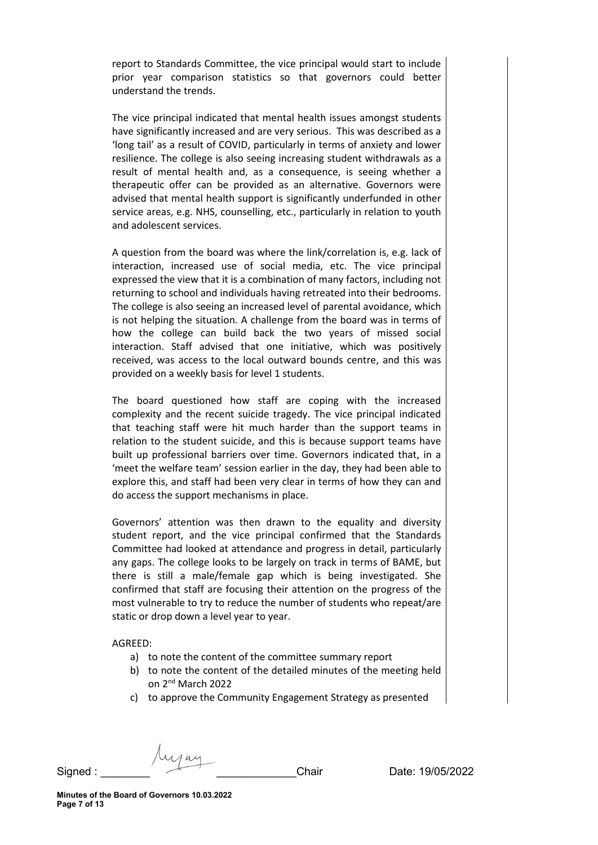report to Standards Committee, the vice principal would start to include prior year comparison statistics so that governors could better understand the trends.

The vice principal indicated that mental health issues amongst students have significantly increased and are very serious. This was described as a 'long tail' as a result of COVID, particularly in terms of anxiety and lower resilience. The college is also seeing increasing student withdrawals as a result of mental health and, as a consequence, is seeing whether a therapeutic offer can be provided as an alternative. Governors were advised that mental health support is significantly underfunded in other service areas, e.g. NHS, counselling, etc., particularly in relation to youth and adolescent services.

A question from the board was where the link/correlation is, e.g. lack of interaction, increased use of social media, etc. The vice principal expressed the view that it is a combination of many factors, including not returning to school and individuals having retreated into their bedrooms. The college is also seeing an increased level of parental avoidance, which is not helping the situation. A challenge from the board was in terms of how the college can build back the two years of missed social interaction. Staff advised that one initiative, which was positively received, was access to the local outward bounds centre, and this was provided on a weekly basis for level 1 students.

The board questioned how staff are coping with the increased complexity and the recent suicide tragedy. The vice principal indicated that teaching staff were hit much harder than the support teams in relation to the student suicide, and this is because support teams have built up professional barriers over time. Governors indicated that, in a 'meet the welfare team' session earlier in the day, they had been able to explore this, and staff had been very clear in terms of how they can and do access the support mechanisms in place.

Governors' attention was then drawn to the equality and diversity student report, and the vice principal confirmed that the Standards Committee had looked at attendance and progress in detail, particularly any gaps. The college looks to be largely on track in terms of BAME, but there is still a male/female gap which is being investigated. She confirmed that staff are focusing their attention on the progress of the most vulnerable to try to reduce the number of students who repeat/are static or drop down a level year to year.

### AGREED:

- a) to note the content of the committee summary report
- b) to note the content of the detailed minutes of the meeting held on 2nd March 2022
- c) to approve the Community Engagement Strategy as presented

 $S$ igned :  $\overline{\phantom{a}}$  .  $\overline{\phantom{a}}$  .  $\overline{\phantom{a}}$  . Chair  $\overline{\phantom{a}}$  Date: 19/05/2022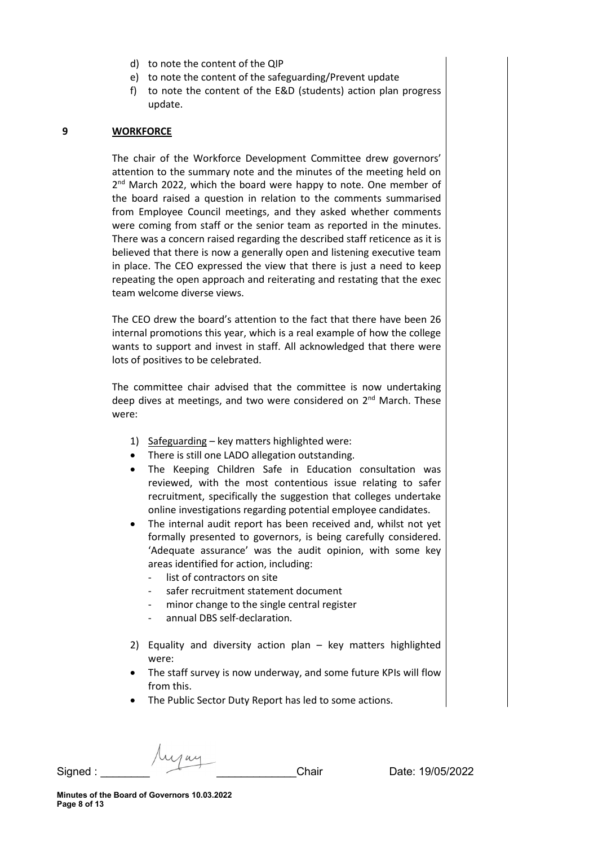- d) to note the content of the QIP
- e) to note the content of the safeguarding/Prevent update
- f) to note the content of the E&D (students) action plan progress update.

#### **9 WORKFORCE**

The chair of the Workforce Development Committee drew governors' attention to the summary note and the minutes of the meeting held on 2<sup>nd</sup> March 2022, which the board were happy to note. One member of the board raised a question in relation to the comments summarised from Employee Council meetings, and they asked whether comments were coming from staff or the senior team as reported in the minutes. There was a concern raised regarding the described staff reticence as it is believed that there is now a generally open and listening executive team in place. The CEO expressed the view that there is just a need to keep repeating the open approach and reiterating and restating that the exec team welcome diverse views.

The CEO drew the board's attention to the fact that there have been 26 internal promotions this year, which is a real example of how the college wants to support and invest in staff. All acknowledged that there were lots of positives to be celebrated.

The committee chair advised that the committee is now undertaking deep dives at meetings, and two were considered on  $2^{nd}$  March. These were:

- 1) Safeguarding key matters highlighted were:
- There is still one LADO allegation outstanding.
- The Keeping Children Safe in Education consultation was reviewed, with the most contentious issue relating to safer recruitment, specifically the suggestion that colleges undertake online investigations regarding potential employee candidates.
- The internal audit report has been received and, whilst not yet formally presented to governors, is being carefully considered. 'Adequate assurance' was the audit opinion, with some key areas identified for action, including:
	- list of contractors on site
	- safer recruitment statement document
	- minor change to the single central register
	- annual DBS self-declaration.
- 2) Equality and diversity action plan key matters highlighted were:
- The staff survey is now underway, and some future KPIs will flow from this.
- The Public Sector Duty Report has led to some actions.

Signed :  $\overline{\phantom{a}}$  . Chair Date: 19/05/2022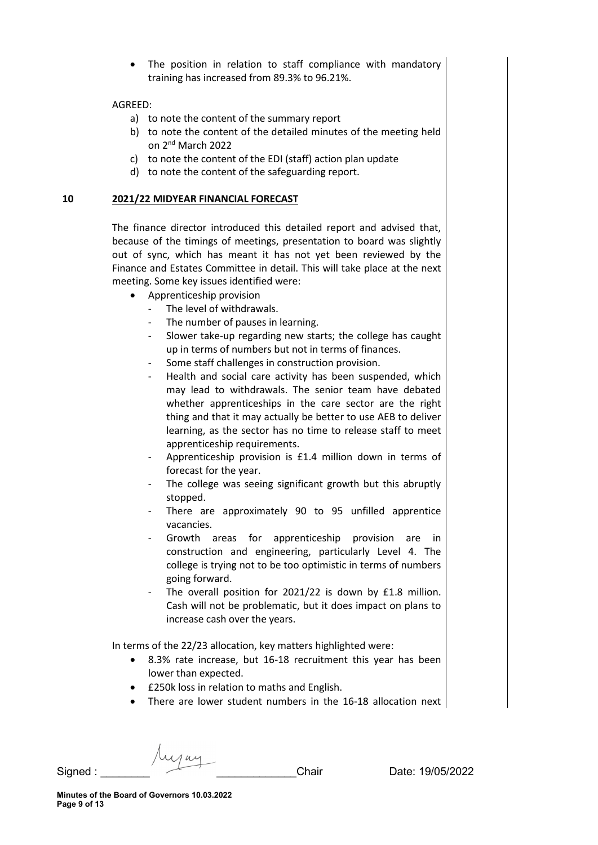The position in relation to staff compliance with mandatory training has increased from 89.3% to 96.21%.

#### AGREED:

- a) to note the content of the summary report
- b) to note the content of the detailed minutes of the meeting held on 2nd March 2022
- c) to note the content of the EDI (staff) action plan update
- d) to note the content of the safeguarding report.

#### **10 2021/22 MIDYEAR FINANCIAL FORECAST**

The finance director introduced this detailed report and advised that, because of the timings of meetings, presentation to board was slightly out of sync, which has meant it has not yet been reviewed by the Finance and Estates Committee in detail. This will take place at the next meeting. Some key issues identified were:

- Apprenticeship provision
	- The level of withdrawals.
	- The number of pauses in learning.
	- Slower take-up regarding new starts; the college has caught up in terms of numbers but not in terms of finances.
	- Some staff challenges in construction provision.
	- Health and social care activity has been suspended, which may lead to withdrawals. The senior team have debated whether apprenticeships in the care sector are the right thing and that it may actually be better to use AEB to deliver learning, as the sector has no time to release staff to meet apprenticeship requirements.
	- Apprenticeship provision is £1.4 million down in terms of forecast for the year.
	- The college was seeing significant growth but this abruptly stopped.
	- There are approximately 90 to 95 unfilled apprentice vacancies.
	- Growth areas for apprenticeship provision are in construction and engineering, particularly Level 4. The college is trying not to be too optimistic in terms of numbers going forward.
	- The overall position for 2021/22 is down by £1.8 million. Cash will not be problematic, but it does impact on plans to increase cash over the years.

In terms of the 22/23 allocation, key matters highlighted were:

- 8.3% rate increase, but 16-18 recruitment this year has been lower than expected.
- £250k loss in relation to maths and English.
- There are lower student numbers in the 16-18 allocation next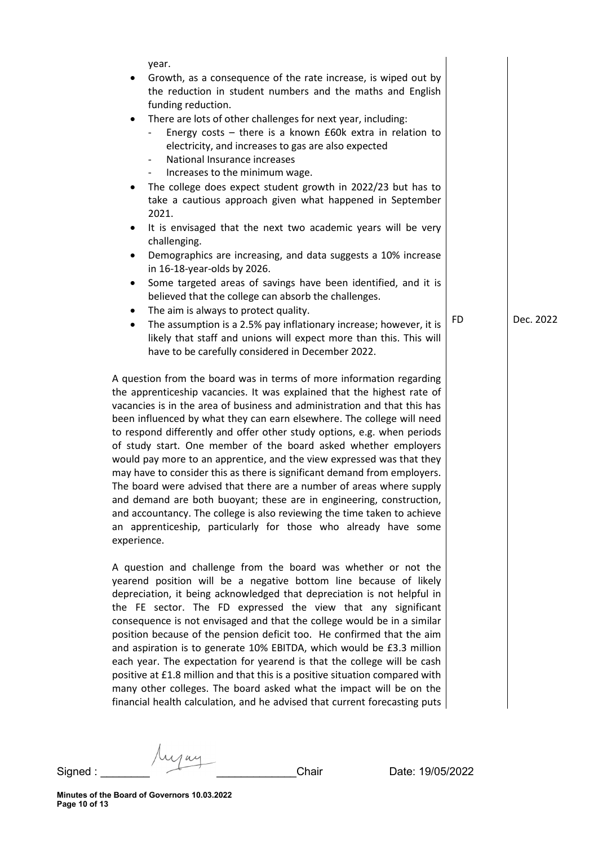| ٠              | year.<br>Growth, as a consequence of the rate increase, is wiped out by<br>the reduction in student numbers and the maths and English<br>funding reduction.                                                                                                                                                                                                                                                                                                                                                                                                                                                                                                                                                                                                                                                                                                                                              |           |           |
|----------------|----------------------------------------------------------------------------------------------------------------------------------------------------------------------------------------------------------------------------------------------------------------------------------------------------------------------------------------------------------------------------------------------------------------------------------------------------------------------------------------------------------------------------------------------------------------------------------------------------------------------------------------------------------------------------------------------------------------------------------------------------------------------------------------------------------------------------------------------------------------------------------------------------------|-----------|-----------|
| $\bullet$      | There are lots of other challenges for next year, including:<br>Energy costs - there is a known £60k extra in relation to<br>electricity, and increases to gas are also expected<br>National Insurance increases<br>$\overline{\phantom{a}}$                                                                                                                                                                                                                                                                                                                                                                                                                                                                                                                                                                                                                                                             |           |           |
| ٠              | Increases to the minimum wage.<br>$\sim$<br>The college does expect student growth in 2022/23 but has to<br>take a cautious approach given what happened in September<br>2021.                                                                                                                                                                                                                                                                                                                                                                                                                                                                                                                                                                                                                                                                                                                           |           |           |
| ٠              | It is envisaged that the next two academic years will be very<br>challenging.                                                                                                                                                                                                                                                                                                                                                                                                                                                                                                                                                                                                                                                                                                                                                                                                                            |           |           |
| ٠              | Demographics are increasing, and data suggests a 10% increase<br>in 16-18-year-olds by 2026.                                                                                                                                                                                                                                                                                                                                                                                                                                                                                                                                                                                                                                                                                                                                                                                                             |           |           |
| ٠              | Some targeted areas of savings have been identified, and it is<br>believed that the college can absorb the challenges.                                                                                                                                                                                                                                                                                                                                                                                                                                                                                                                                                                                                                                                                                                                                                                                   |           |           |
| ٠<br>$\bullet$ | The aim is always to protect quality.<br>The assumption is a 2.5% pay inflationary increase; however, it is<br>likely that staff and unions will expect more than this. This will<br>have to be carefully considered in December 2022.                                                                                                                                                                                                                                                                                                                                                                                                                                                                                                                                                                                                                                                                   | <b>FD</b> | Dec. 2022 |
| experience.    | A question from the board was in terms of more information regarding<br>the apprenticeship vacancies. It was explained that the highest rate of<br>vacancies is in the area of business and administration and that this has<br>been influenced by what they can earn elsewhere. The college will need<br>to respond differently and offer other study options, e.g. when periods<br>of study start. One member of the board asked whether employers<br>would pay more to an apprentice, and the view expressed was that they<br>may have to consider this as there is significant demand from employers.<br>The board were advised that there are a number of areas where supply<br>and demand are both buoyant; these are in engineering, construction,<br>and accountancy. The college is also reviewing the time taken to achieve<br>an apprenticeship, particularly for those who already have some |           |           |
|                | A question and challenge from the board was whether or not the<br>yearend position will be a negative bottom line because of likely<br>depreciation, it being acknowledged that depreciation is not helpful in<br>the FE sector. The FD expressed the view that any significant<br>consequence is not envisaged and that the college would be in a similar<br>position because of the pension deficit too. He confirmed that the aim<br>and aspiration is to generate 10% EBITDA, which would be £3.3 million<br>each year. The expectation for yearend is that the college will be cash<br>positive at £1.8 million and that this is a positive situation compared with                                                                                                                                                                                                                                 |           |           |

Way Signed : \_\_\_\_\_\_\_\_ \_\_\_\_\_\_\_\_\_\_\_\_\_Chair Date: 19/05/2022

many other colleges. The board asked what the impact will be on the financial health calculation, and he advised that current forecasting puts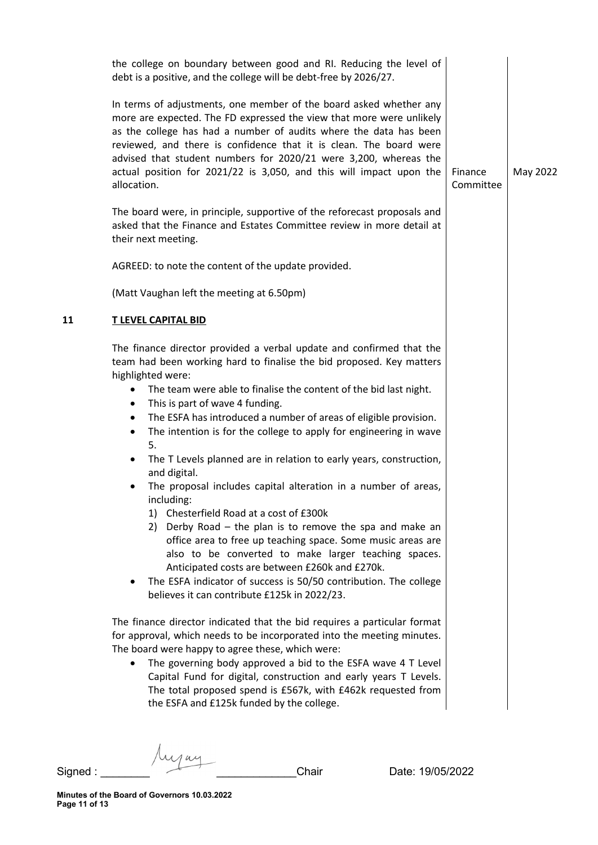|    | the college on boundary between good and RI. Reducing the level of<br>debt is a positive, and the college will be debt-free by 2026/27.                                                                                                                                                                                                                                                                                                                                                                                                                                                                                                                                                                                                                                                                                                                                                                                                                                                                                                                                                                                                                                                                                                                                                                                                     |                      |          |
|----|---------------------------------------------------------------------------------------------------------------------------------------------------------------------------------------------------------------------------------------------------------------------------------------------------------------------------------------------------------------------------------------------------------------------------------------------------------------------------------------------------------------------------------------------------------------------------------------------------------------------------------------------------------------------------------------------------------------------------------------------------------------------------------------------------------------------------------------------------------------------------------------------------------------------------------------------------------------------------------------------------------------------------------------------------------------------------------------------------------------------------------------------------------------------------------------------------------------------------------------------------------------------------------------------------------------------------------------------|----------------------|----------|
|    | In terms of adjustments, one member of the board asked whether any<br>more are expected. The FD expressed the view that more were unlikely<br>as the college has had a number of audits where the data has been<br>reviewed, and there is confidence that it is clean. The board were<br>advised that student numbers for 2020/21 were 3,200, whereas the<br>actual position for 2021/22 is 3,050, and this will impact upon the<br>allocation.                                                                                                                                                                                                                                                                                                                                                                                                                                                                                                                                                                                                                                                                                                                                                                                                                                                                                             | Finance<br>Committee | May 2022 |
|    | The board were, in principle, supportive of the reforecast proposals and<br>asked that the Finance and Estates Committee review in more detail at<br>their next meeting.                                                                                                                                                                                                                                                                                                                                                                                                                                                                                                                                                                                                                                                                                                                                                                                                                                                                                                                                                                                                                                                                                                                                                                    |                      |          |
|    | AGREED: to note the content of the update provided.                                                                                                                                                                                                                                                                                                                                                                                                                                                                                                                                                                                                                                                                                                                                                                                                                                                                                                                                                                                                                                                                                                                                                                                                                                                                                         |                      |          |
|    | (Matt Vaughan left the meeting at 6.50pm)                                                                                                                                                                                                                                                                                                                                                                                                                                                                                                                                                                                                                                                                                                                                                                                                                                                                                                                                                                                                                                                                                                                                                                                                                                                                                                   |                      |          |
| 11 | <b>T LEVEL CAPITAL BID</b>                                                                                                                                                                                                                                                                                                                                                                                                                                                                                                                                                                                                                                                                                                                                                                                                                                                                                                                                                                                                                                                                                                                                                                                                                                                                                                                  |                      |          |
|    | The finance director provided a verbal update and confirmed that the<br>team had been working hard to finalise the bid proposed. Key matters<br>highlighted were:<br>The team were able to finalise the content of the bid last night.<br>$\bullet$<br>This is part of wave 4 funding.<br>٠<br>The ESFA has introduced a number of areas of eligible provision.<br>$\bullet$<br>The intention is for the college to apply for engineering in wave<br>$\bullet$<br>5.<br>The T Levels planned are in relation to early years, construction,<br>and digital.<br>The proposal includes capital alteration in a number of areas,<br>including:<br>1) Chesterfield Road at a cost of £300k<br>2) Derby Road – the plan is to remove the spa and make an<br>office area to free up teaching space. Some music areas are<br>also to be converted to make larger teaching spaces.<br>Anticipated costs are between £260k and £270k.<br>The ESFA indicator of success is 50/50 contribution. The college<br>٠<br>believes it can contribute £125k in 2022/23.<br>The finance director indicated that the bid requires a particular format<br>for approval, which needs to be incorporated into the meeting minutes.<br>The board were happy to agree these, which were:<br>The governing body approved a bid to the ESFA wave 4 T Level<br>$\bullet$ |                      |          |
|    | Capital Fund for digital, construction and early years T Levels.<br>The total proposed spend is £567k, with £462k requested from<br>the ESFA and £125k funded by the college.                                                                                                                                                                                                                                                                                                                                                                                                                                                                                                                                                                                                                                                                                                                                                                                                                                                                                                                                                                                                                                                                                                                                                               |                      |          |
|    |                                                                                                                                                                                                                                                                                                                                                                                                                                                                                                                                                                                                                                                                                                                                                                                                                                                                                                                                                                                                                                                                                                                                                                                                                                                                                                                                             |                      |          |

Signed : \_\_\_\_\_\_\_\_ \_\_\_\_\_\_\_\_\_\_\_\_\_Chair Date: 19/05/2022

Aujan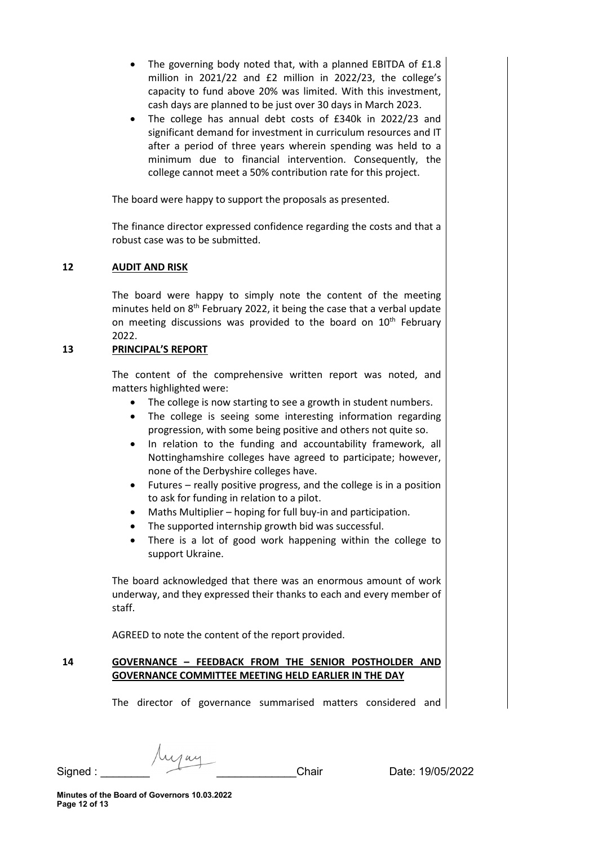- The governing body noted that, with a planned EBITDA of £1.8 million in 2021/22 and £2 million in 2022/23, the college's capacity to fund above 20% was limited. With this investment, cash days are planned to be just over 30 days in March 2023.
- The college has annual debt costs of £340k in 2022/23 and significant demand for investment in curriculum resources and IT after a period of three years wherein spending was held to a minimum due to financial intervention. Consequently, the college cannot meet a 50% contribution rate for this project.

The board were happy to support the proposals as presented.

The finance director expressed confidence regarding the costs and that a robust case was to be submitted.

## **12 AUDIT AND RISK**

The board were happy to simply note the content of the meeting minutes held on  $8<sup>th</sup>$  February 2022, it being the case that a verbal update on meeting discussions was provided to the board on  $10<sup>th</sup>$  February 2022.

## **13 PRINCIPAL'S REPORT**

The content of the comprehensive written report was noted, and matters highlighted were:

- The college is now starting to see a growth in student numbers.
- The college is seeing some interesting information regarding progression, with some being positive and others not quite so.
- In relation to the funding and accountability framework, all Nottinghamshire colleges have agreed to participate; however, none of the Derbyshire colleges have.
- Futures really positive progress, and the college is in a position to ask for funding in relation to a pilot.
- Maths Multiplier hoping for full buy-in and participation.
- The supported internship growth bid was successful.
- There is a lot of good work happening within the college to support Ukraine.

The board acknowledged that there was an enormous amount of work underway, and they expressed their thanks to each and every member of staff.

AGREED to note the content of the report provided.

# **14 GOVERNANCE – FEEDBACK FROM THE SENIOR POSTHOLDER AND GOVERNANCE COMMITTEE MEETING HELD EARLIER IN THE DAY**

The director of governance summarised matters considered and